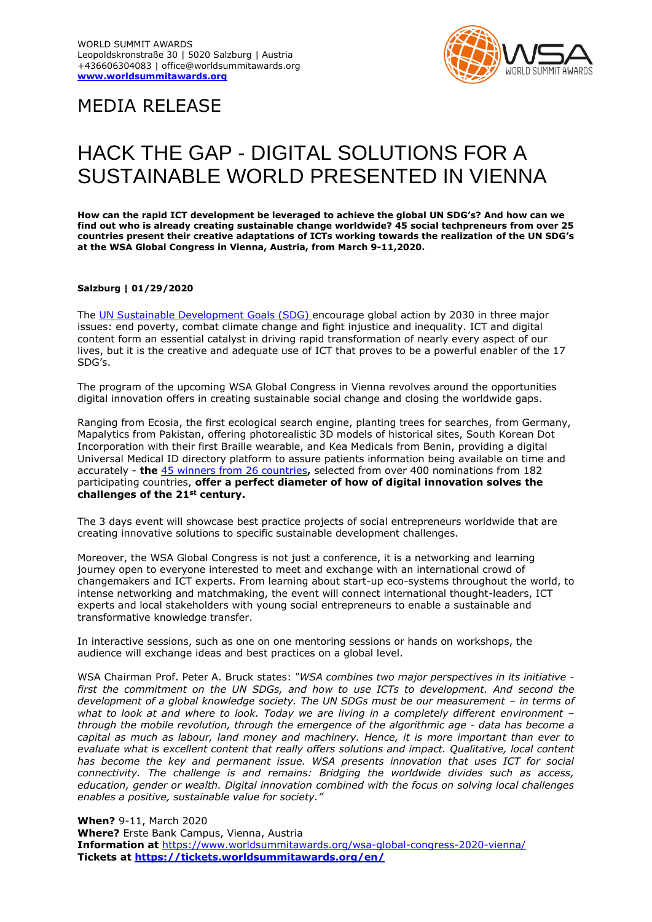

## MEDIA RELEASE

## HACK THE GAP - DIGITAL SOLUTIONS FOR A SUSTAINABLE WORLD PRESENTED IN VIENNA

**How can the rapid ICT development be leveraged to achieve the global UN SDG's? And how can we find out who is already creating sustainable change worldwide? 45 social techpreneurs from over 25 countries present their creative adaptations of ICTs working towards the realization of the UN SDG's at the WSA Global Congress in Vienna, Austria, from March 9-11,2020.**

## **Salzburg | 01/29/2020**

The UN Sustainable [Development](https://www.un.org/sustainabledevelopment/sustainable-development-goals/) Goals (SDG) encourage global action by 2030 in three major issues: end poverty, combat climate change and fight injustice and inequality. ICT and digital content form an essential catalyst in driving rapid transformation of nearly every aspect of our lives, but it is the creative and adequate use of ICT that proves to be a powerful enabler of the 17 SDG's.

The program of the upcoming WSA Global Congress in Vienna revolves around the opportunities digital innovation offers in creating sustainable social change and closing the worldwide gaps.

Ranging from Ecosia, the first ecological search engine, planting trees for searches, from Germany, Mapalytics from Pakistan, offering photorealistic 3D models of historical sites, South Korean Dot Incorporation with their first Braille wearable, and Kea Medicals from Benin, providing a digital Universal Medical ID directory platform to assure patients information being available on time and accurately - **the** 45 [winners from 26 countries](https://www.worldsummitawards.org/2019/12/10/meet-the-40-winners-of-2019/)**,** selected from over 400 nominations from 182 participating countries, **offer a perfect diameter of how of digital innovation solves the challenges of the 21st century.** 

The 3 days event will showcase best practice projects of social entrepreneurs worldwide that are creating innovative solutions to specific sustainable development challenges.

Moreover, the WSA Global Congress is not just a conference, it is a networking and learning journey open to everyone interested to meet and exchange with an international crowd of changemakers and ICT experts. From learning about start-up eco-systems throughout the world, to intense networking and matchmaking, the event will connect international thought-leaders, ICT experts and local stakeholders with young social entrepreneurs to enable a sustainable and transformative knowledge transfer.

In interactive sessions, such as one on one mentoring sessions or hands on workshops, the audience will exchange ideas and best practices on a global level.

WSA Chairman Prof. Peter A. Bruck states: *"WSA combines two major perspectives in its initiative first the commitment on the UN SDGs, and how to use ICTs to development. And second the development of a global knowledge society. The UN SDGs must be our measurement - in terms of what to look at and where to look. Today we are living in a completely different environment – through the mobile revolution, through the emergence of the algorithmic age - data has become a capital as much as labour, land money and machinery. Hence, it is more important than ever to evaluate what is excellent content that really offers solutions and impact. Qualitative, local content*  has become the key and permanent issue. WSA presents innovation that uses ICT for social *connectivity. The challenge is and remains: Bridging the worldwide divides such as access, education, gender or wealth. Digital innovation combined with the focus on solving local challenges enables a positive, sustainable value for society."*

**When?** 9-11, March 2020 **Where?** Erste Bank Campus, Vienna, Austria **Information at** <https://www.worldsummitawards.org/wsa-global-congress-2020-vienna/> **Tickets at <https://tickets.worldsummitawards.org/en/>**